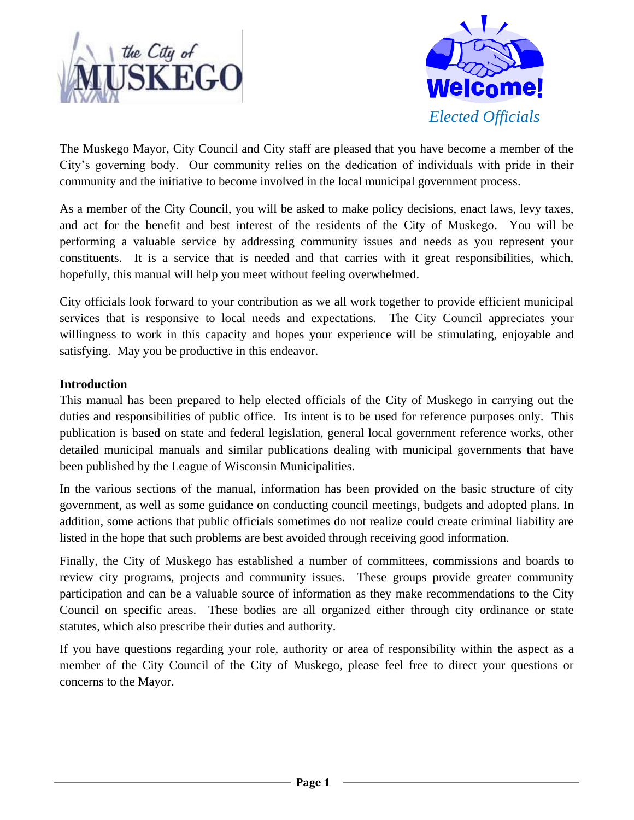



The Muskego Mayor, City Council and City staff are pleased that you have become a member of the City's governing body. Our community relies on the dedication of individuals with pride in their community and the initiative to become involved in the local municipal government process.

As a member of the City Council, you will be asked to make policy decisions, enact laws, levy taxes, and act for the benefit and best interest of the residents of the City of Muskego. You will be performing a valuable service by addressing community issues and needs as you represent your constituents. It is a service that is needed and that carries with it great responsibilities, which, hopefully, this manual will help you meet without feeling overwhelmed.

City officials look forward to your contribution as we all work together to provide efficient municipal services that is responsive to local needs and expectations. The City Council appreciates your willingness to work in this capacity and hopes your experience will be stimulating, enjoyable and satisfying. May you be productive in this endeavor.

# **Introduction**

This manual has been prepared to help elected officials of the City of Muskego in carrying out the duties and responsibilities of public office. Its intent is to be used for reference purposes only. This publication is based on state and federal legislation, general local government reference works, other detailed municipal manuals and similar publications dealing with municipal governments that have been published by the League of Wisconsin Municipalities.

In the various sections of the manual, information has been provided on the basic structure of city government, as well as some guidance on conducting council meetings, budgets and adopted plans. In addition, some actions that public officials sometimes do not realize could create criminal liability are listed in the hope that such problems are best avoided through receiving good information.

Finally, the City of Muskego has established a number of committees, commissions and boards to review city programs, projects and community issues. These groups provide greater community participation and can be a valuable source of information as they make recommendations to the City Council on specific areas. These bodies are all organized either through city ordinance or state statutes, which also prescribe their duties and authority.

If you have questions regarding your role, authority or area of responsibility within the aspect as a member of the City Council of the City of Muskego, please feel free to direct your questions or concerns to the Mayor.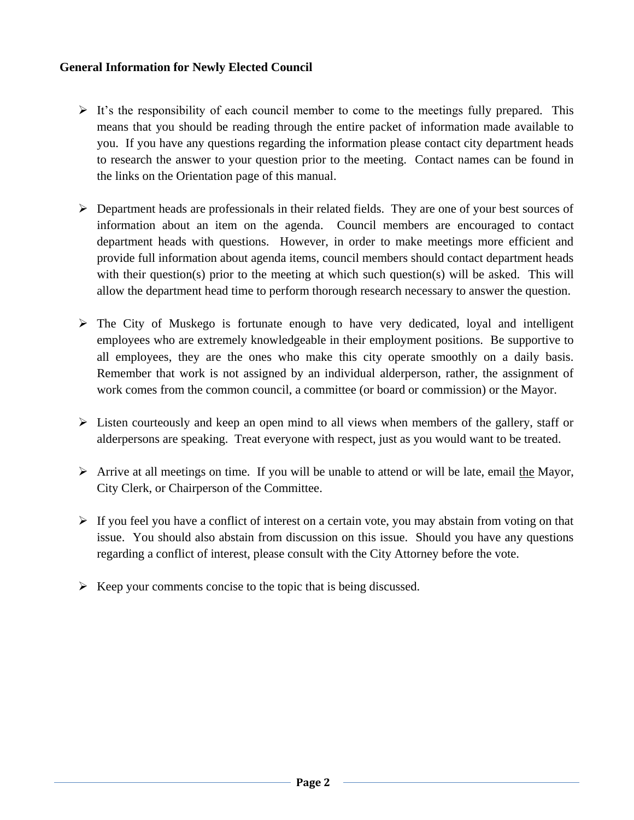# **General Information for Newly Elected Council**

- $\triangleright$  It's the responsibility of each council member to come to the meetings fully prepared. This means that you should be reading through the entire packet of information made available to you. If you have any questions regarding the information please contact city department heads to research the answer to your question prior to the meeting. Contact names can be found in the links on the Orientation page of this manual.
- $\triangleright$  Department heads are professionals in their related fields. They are one of your best sources of information about an item on the agenda. Council members are encouraged to contact department heads with questions. However, in order to make meetings more efficient and provide full information about agenda items, council members should contact department heads with their question(s) prior to the meeting at which such question(s) will be asked. This will allow the department head time to perform thorough research necessary to answer the question.
- $\triangleright$  The City of Muskego is fortunate enough to have very dedicated, loyal and intelligent employees who are extremely knowledgeable in their employment positions. Be supportive to all employees, they are the ones who make this city operate smoothly on a daily basis. Remember that work is not assigned by an individual alderperson, rather, the assignment of work comes from the common council, a committee (or board or commission) or the Mayor.
- $\triangleright$  Listen courteously and keep an open mind to all views when members of the gallery, staff or alderpersons are speaking. Treat everyone with respect, just as you would want to be treated.
- $\triangleright$  Arrive at all meetings on time. If you will be unable to attend or will be late, email the Mayor, City Clerk, or Chairperson of the Committee.
- $\triangleright$  If you feel you have a conflict of interest on a certain vote, you may abstain from voting on that issue. You should also abstain from discussion on this issue. Should you have any questions regarding a conflict of interest, please consult with the City Attorney before the vote.
- $\triangleright$  Keep your comments concise to the topic that is being discussed.